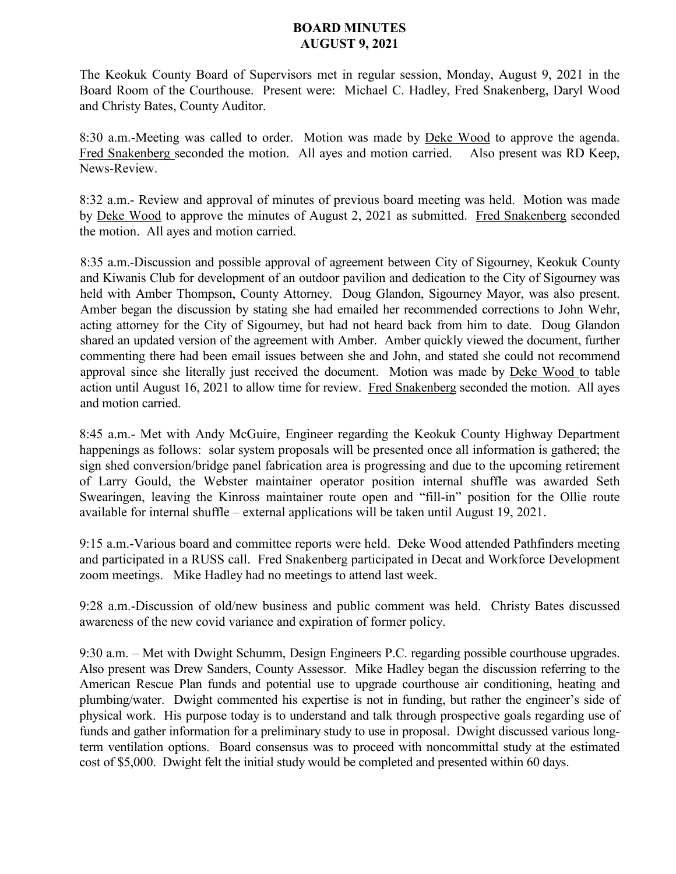## **BOARD MINUTES AUGUST 9, 2021**

The Keokuk County Board of Supervisors met in regular session, Monday, August 9, 2021 in the Board Room of the Courthouse. Present were: Michael C. Hadley, Fred Snakenberg, Daryl Wood and Christy Bates, County Auditor.

8:30 a.m.-Meeting was called to order. Motion was made by Deke Wood to approve the agenda. Fred Snakenberg seconded the motion. All ayes and motion carried. Also present was RD Keep, News-Review.

8:32 a.m.- Review and approval of minutes of previous board meeting was held. Motion was made by Deke Wood to approve the minutes of August 2, 2021 as submitted. Fred Snakenberg seconded the motion. All ayes and motion carried.

8:35 a.m.-Discussion and possible approval of agreement between City of Sigourney, Keokuk County and Kiwanis Club for development of an outdoor pavilion and dedication to the City of Sigourney was held with Amber Thompson, County Attorney. Doug Glandon, Sigourney Mayor, was also present. Amber began the discussion by stating she had emailed her recommended corrections to John Wehr, acting attorney for the City of Sigourney, but had not heard back from him to date. Doug Glandon shared an updated version of the agreement with Amber. Amber quickly viewed the document, further commenting there had been email issues between she and John, and stated she could not recommend approval since she literally just received the document. Motion was made by Deke Wood to table action until August 16, 2021 to allow time for review. Fred Snakenberg seconded the motion. All ayes and motion carried.

8:45 a.m.- Met with Andy McGuire, Engineer regarding the Keokuk County Highway Department happenings as follows: solar system proposals will be presented once all information is gathered; the sign shed conversion/bridge panel fabrication area is progressing and due to the upcoming retirement of Larry Gould, the Webster maintainer operator position internal shuffle was awarded Seth Swearingen, leaving the Kinross maintainer route open and "fill-in" position for the Ollie route available for internal shuffle – external applications will be taken until August 19, 2021.

9:15 a.m.-Various board and committee reports were held. Deke Wood attended Pathfinders meeting and participated in a RUSS call. Fred Snakenberg participated in Decat and Workforce Development zoom meetings. Mike Hadley had no meetings to attend last week.

9:28 a.m.-Discussion of old/new business and public comment was held. Christy Bates discussed awareness of the new covid variance and expiration of former policy.

9:30 a.m. – Met with Dwight Schumm, Design Engineers P.C. regarding possible courthouse upgrades. Also present was Drew Sanders, County Assessor. Mike Hadley began the discussion referring to the American Rescue Plan funds and potential use to upgrade courthouse air conditioning, heating and plumbing/water. Dwight commented his expertise is not in funding, but rather the engineer's side of physical work. His purpose today is to understand and talk through prospective goals regarding use of funds and gather information for a preliminary study to use in proposal. Dwight discussed various longterm ventilation options. Board consensus was to proceed with noncommittal study at the estimated cost of \$5,000. Dwight felt the initial study would be completed and presented within 60 days.